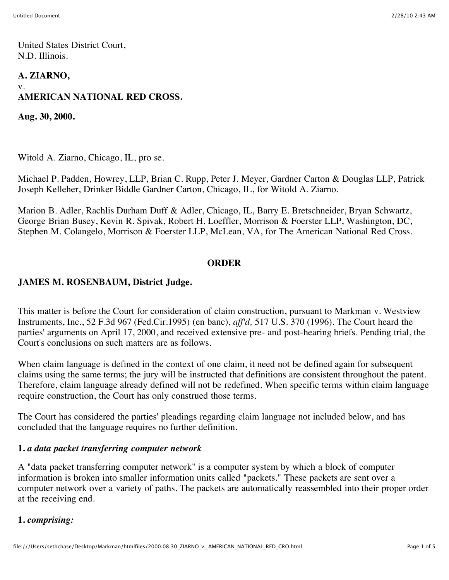United States District Court, N.D. Illinois.

# **A. ZIARNO,** v. **AMERICAN NATIONAL RED CROSS.**

**Aug. 30, 2000.**

Witold A. Ziarno, Chicago, IL, pro se.

Michael P. Padden, Howrey, LLP, Brian C. Rupp, Peter J. Meyer, Gardner Carton & Douglas LLP, Patrick Joseph Kelleher, Drinker Biddle Gardner Carton, Chicago, IL, for Witold A. Ziarno.

Marion B. Adler, Rachlis Durham Duff & Adler, Chicago, IL, Barry E. Bretschneider, Bryan Schwartz, George Brian Busey, Kevin R. Spivak, Robert H. Loeffler, Morrison & Foerster LLP, Washington, DC, Stephen M. Colangelo, Morrison & Foerster LLP, McLean, VA, for The American National Red Cross.

#### **ORDER**

## **JAMES M. ROSENBAUM, District Judge.**

This matter is before the Court for consideration of claim construction, pursuant to Markman v. Westview Instruments, Inc., 52 F.3d 967 (Fed.Cir.1995) (en banc), *aff'd,* 517 U.S. 370 (1996). The Court heard the parties' arguments on April 17, 2000, and received extensive pre- and post-hearing briefs. Pending trial, the Court's conclusions on such matters are as follows.

When claim language is defined in the context of one claim, it need not be defined again for subsequent claims using the same terms; the jury will be instructed that definitions are consistent throughout the patent. Therefore, claim language already defined will not be redefined. When specific terms within claim language require construction, the Court has only construed those terms.

The Court has considered the parties' pleadings regarding claim language not included below, and has concluded that the language requires no further definition.

## **1.** *a data packet transferring computer network*

A "data packet transferring computer network" is a computer system by which a block of computer information is broken into smaller information units called "packets." These packets are sent over a computer network over a variety of paths. The packets are automatically reassembled into their proper order at the receiving end.

## **1.** *comprising:*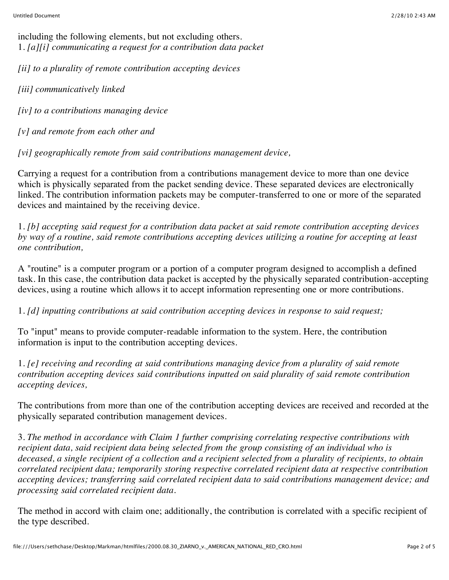including the following elements, but not excluding others. 1. *[a][i] communicating a request for a contribution data packet*

*[ii] to a plurality of remote contribution accepting devices*

*[iii] communicatively linked*

*[iv] to a contributions managing device*

*[v] and remote from each other and*

*[vi] geographically remote from said contributions management device,*

Carrying a request for a contribution from a contributions management device to more than one device which is physically separated from the packet sending device. These separated devices are electronically linked. The contribution information packets may be computer-transferred to one or more of the separated devices and maintained by the receiving device.

1. *[b] accepting said request for a contribution data packet at said remote contribution accepting devices by way of a routine, said remote contributions accepting devices utilizing a routine for accepting at least one contribution,*

A "routine" is a computer program or a portion of a computer program designed to accomplish a defined task. In this case, the contribution data packet is accepted by the physically separated contribution-accepting devices, using a routine which allows it to accept information representing one or more contributions.

1. *[d] inputting contributions at said contribution accepting devices in response to said request;*

To "input" means to provide computer-readable information to the system. Here, the contribution information is input to the contribution accepting devices.

1. *[e] receiving and recording at said contributions managing device from a plurality of said remote contribution accepting devices said contributions inputted on said plurality of said remote contribution accepting devices,*

The contributions from more than one of the contribution accepting devices are received and recorded at the physically separated contribution management devices.

3. *The method in accordance with Claim 1 further comprising correlating respective contributions with recipient data, said recipient data being selected from the group consisting of an individual who is deceased, a single recipient of a collection and a recipient selected from a plurality of recipients, to obtain correlated recipient data; temporarily storing respective correlated recipient data at respective contribution accepting devices; transferring said correlated recipient data to said contributions management device; and processing said correlated recipient data.*

The method in accord with claim one; additionally, the contribution is correlated with a specific recipient of the type described.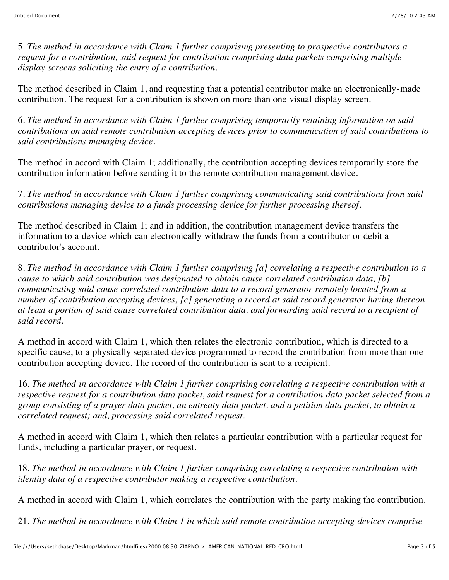5. *The method in accordance with Claim 1 further comprising presenting to prospective contributors a request for a contribution, said request for contribution comprising data packets comprising multiple display screens soliciting the entry of a contribution.*

The method described in Claim 1, and requesting that a potential contributor make an electronically-made contribution. The request for a contribution is shown on more than one visual display screen.

6. *The method in accordance with Claim 1 further comprising temporarily retaining information on said contributions on said remote contribution accepting devices prior to communication of said contributions to said contributions managing device.*

The method in accord with Claim 1; additionally, the contribution accepting devices temporarily store the contribution information before sending it to the remote contribution management device.

7. *The method in accordance with Claim 1 further comprising communicating said contributions from said contributions managing device to a funds processing device for further processing thereof.*

The method described in Claim 1; and in addition, the contribution management device transfers the information to a device which can electronically withdraw the funds from a contributor or debit a contributor's account.

8. *The method in accordance with Claim 1 further comprising [a] correlating a respective contribution to a cause to which said contribution was designated to obtain cause correlated contribution data, [b] communicating said cause correlated contribution data to a record generator remotely located from a number of contribution accepting devices, [c] generating a record at said record generator having thereon at least a portion of said cause correlated contribution data, and forwarding said record to a recipient of said record.*

A method in accord with Claim 1, which then relates the electronic contribution, which is directed to a specific cause, to a physically separated device programmed to record the contribution from more than one contribution accepting device. The record of the contribution is sent to a recipient.

16. *The method in accordance with Claim 1 further comprising correlating a respective contribution with a respective request for a contribution data packet, said request for a contribution data packet selected from a group consisting of a prayer data packet, an entreaty data packet, and a petition data packet, to obtain a correlated request; and, processing said correlated request.*

A method in accord with Claim 1, which then relates a particular contribution with a particular request for funds, including a particular prayer, or request.

18. *The method in accordance with Claim 1 further comprising correlating a respective contribution with identity data of a respective contributor making a respective contribution.*

A method in accord with Claim 1, which correlates the contribution with the party making the contribution.

21. *The method in accordance with Claim 1 in which said remote contribution accepting devices comprise*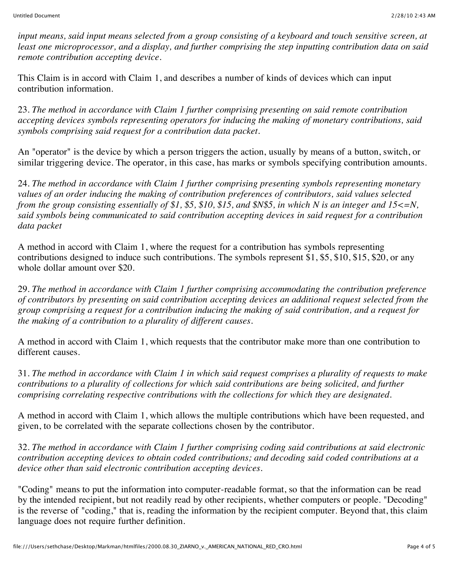*input means, said input means selected from a group consisting of a keyboard and touch sensitive screen, at least one microprocessor, and a display, and further comprising the step inputting contribution data on said remote contribution accepting device.*

This Claim is in accord with Claim 1, and describes a number of kinds of devices which can input contribution information.

23. *The method in accordance with Claim 1 further comprising presenting on said remote contribution accepting devices symbols representing operators for inducing the making of monetary contributions, said symbols comprising said request for a contribution data packet.*

An "operator" is the device by which a person triggers the action, usually by means of a button, switch, or similar triggering device. The operator, in this case, has marks or symbols specifying contribution amounts.

24. *The method in accordance with Claim 1 further comprising presenting symbols representing monetary values of an order inducing the making of contribution preferences of contributors, said values selected from the group consisting essentially of \$1, \$5, \$10, \$15, and \$N\$5, in which N is an integer and 15<=N, said symbols being communicated to said contribution accepting devices in said request for a contribution data packet*

A method in accord with Claim 1, where the request for a contribution has symbols representing contributions designed to induce such contributions. The symbols represent \$1, \$5, \$10, \$15, \$20, or any whole dollar amount over \$20.

29. *The method in accordance with Claim 1 further comprising accommodating the contribution preference of contributors by presenting on said contribution accepting devices an additional request selected from the group comprising a request for a contribution inducing the making of said contribution, and a request for the making of a contribution to a plurality of different causes.*

A method in accord with Claim 1, which requests that the contributor make more than one contribution to different causes.

31. *The method in accordance with Claim 1 in which said request comprises a plurality of requests to make contributions to a plurality of collections for which said contributions are being solicited, and further comprising correlating respective contributions with the collections for which they are designated.*

A method in accord with Claim 1, which allows the multiple contributions which have been requested, and given, to be correlated with the separate collections chosen by the contributor.

32. *The method in accordance with Claim 1 further comprising coding said contributions at said electronic contribution accepting devices to obtain coded contributions; and decoding said coded contributions at a device other than said electronic contribution accepting devices.*

"Coding" means to put the information into computer-readable format, so that the information can be read by the intended recipient, but not readily read by other recipients, whether computers or people. "Decoding" is the reverse of "coding," that is, reading the information by the recipient computer. Beyond that, this claim language does not require further definition.